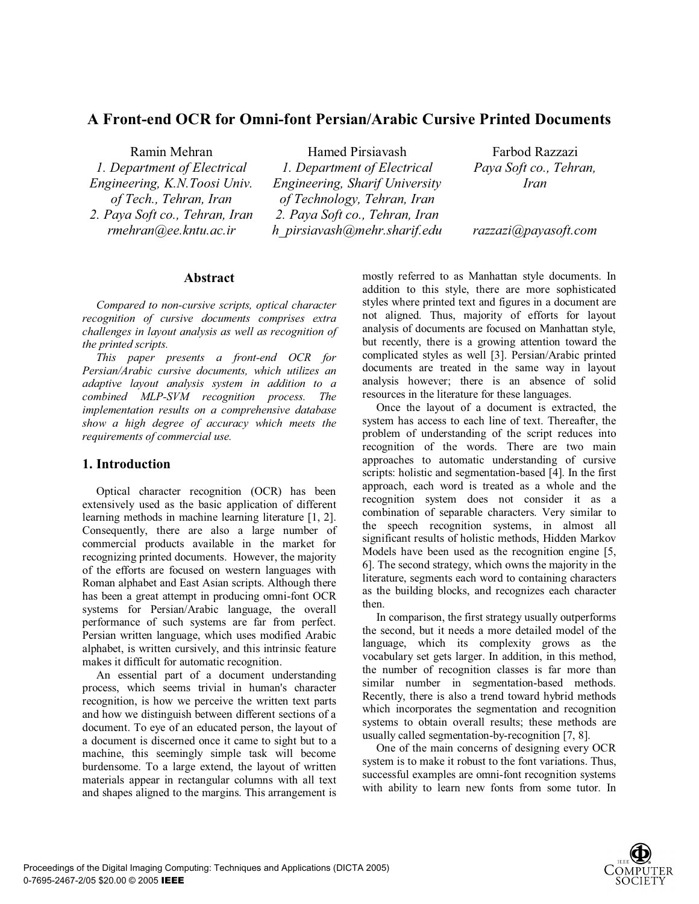# **A Front-end OCR for Omni-font Persian/Arabic Cursive Printed Documents**

*1. Department of Electrical Engineering, K.N.Toosi Univ. of Tech., Tehran, Iran 2. Paya Soft co., Tehran, Iran* 

Ramin Mehran **III. Elamed Pirsiavash** Farbod Razzazi *1. Department of Electrical Engineering, Sharif University of Technology, Tehran, Iran 2. Paya Soft co., Tehran, Iran rmehran@ee.kntu.ac.ir h\_pirsiavash@mehr.sharif.edu razzazi@payasoft.com* 

*Paya Soft co., Tehran, Iran* 

# **Abstract**

*Compared to non-cursive scripts, optical character recognition of cursive documents comprises extra challenges in layout analysis as well as recognition of the printed scripts.* 

*This paper presents a front-end OCR for Persian/Arabic cursive documents, which utilizes an adaptive layout analysis system in addition to a combined MLP-SVM recognition process. The implementation results on a comprehensive database show a high degree of accuracy which meets the requirements of commercial use.* 

#### **1. Introduction**

Optical character recognition (OCR) has been extensively used as the basic application of different learning methods in machine learning literature [1, 2]. Consequently, there are also a large number of commercial products available in the market for recognizing printed documents. However, the majority of the efforts are focused on western languages with Roman alphabet and East Asian scripts. Although there has been a great attempt in producing omni-font OCR systems for Persian/Arabic language, the overall performance of such systems are far from perfect. Persian written language, which uses modified Arabic alphabet, is written cursively, and this intrinsic feature makes it difficult for automatic recognition.

An essential part of a document understanding process, which seems trivial in human's character recognition, is how we perceive the written text parts and how we distinguish between different sections of a document. To eye of an educated person, the layout of a document is discerned once it came to sight but to a machine, this seemingly simple task will become burdensome. To a large extend, the layout of written materials appear in rectangular columns with all text and shapes aligned to the margins. This arrangement is mostly referred to as Manhattan style documents. In addition to this style, there are more sophisticated styles where printed text and figures in a document are not aligned. Thus, majority of efforts for layout analysis of documents are focused on Manhattan style, but recently, there is a growing attention toward the complicated styles as well [3]. Persian/Arabic printed documents are treated in the same way in layout analysis however; there is an absence of solid resources in the literature for these languages.

Once the layout of a document is extracted, the system has access to each line of text. Thereafter, the problem of understanding of the script reduces into recognition of the words. There are two main approaches to automatic understanding of cursive scripts: holistic and segmentation-based [4]. In the first approach, each word is treated as a whole and the recognition system does not consider it as a combination of separable characters. Very similar to the speech recognition systems, in almost all significant results of holistic methods, Hidden Markov Models have been used as the recognition engine [5, 6]. The second strategy, which owns the majority in the literature, segments each word to containing characters as the building blocks, and recognizes each character then.

In comparison, the first strategy usually outperforms the second, but it needs a more detailed model of the language, which its complexity grows as the vocabulary set gets larger. In addition, in this method, the number of recognition classes is far more than similar number in segmentation-based methods. Recently, there is also a trend toward hybrid methods which incorporates the segmentation and recognition systems to obtain overall results; these methods are usually called segmentation-by-recognition [7, 8].

One of the main concerns of designing every OCR system is to make it robust to the font variations. Thus, successful examples are omni-font recognition systems with ability to learn new fonts from some tutor. In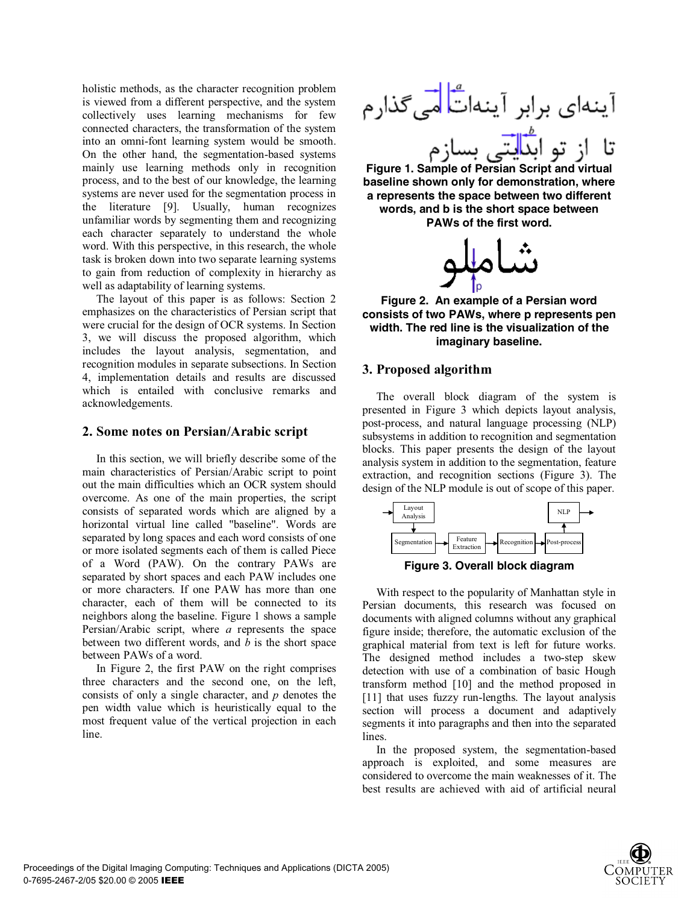holistic methods, as the character recognition problem is viewed from a different perspective, and the system collectively uses learning mechanisms for few connected characters, the transformation of the system into an omni-font learning system would be smooth. On the other hand, the segmentation-based systems mainly use learning methods only in recognition process, and to the best of our knowledge, the learning systems are never used for the segmentation process in the literature [9]. Usually, human recognizes unfamiliar words by segmenting them and recognizing each character separately to understand the whole word. With this perspective, in this research, the whole task is broken down into two separate learning systems to gain from reduction of complexity in hierarchy as well as adaptability of learning systems.

The layout of this paper is as follows: Section 2 emphasizes on the characteristics of Persian script that were crucial for the design of OCR systems. In Section 3, we will discuss the proposed algorithm, which includes the layout analysis, segmentation, and recognition modules in separate subsections. In Section 4, implementation details and results are discussed which is entailed with conclusive remarks and acknowledgements.

#### **2. Some notes on Persian/Arabic script**

In this section, we will briefly describe some of the main characteristics of Persian/Arabic script to point out the main difficulties which an OCR system should overcome. As one of the main properties, the script consists of separated words which are aligned by a horizontal virtual line called "baseline". Words are separated by long spaces and each word consists of one or more isolated segments each of them is called Piece of a Word (PAW). On the contrary PAWs are separated by short spaces and each PAW includes one or more characters. If one PAW has more than one character, each of them will be connected to its neighbors along the baseline. Figure 1 shows a sample Persian/Arabic script, where *a* represents the space between two different words, and *b* is the short space between PAWs of a word.

In Figure 2, the first PAW on the right comprises three characters and the second one, on the left, consists of only a single character, and *p* denotes the pen width value which is heuristically equal to the most frequent value of the vertical projection in each line.



**baseline shown only for demonstration, where a represents the space between two different words, and b is the short space between PAWs of the first word.** 



**Figure 2. An example of a Persian word consists of two PAWs, where p represents pen width. The red line is the visualization of the imaginary baseline.** 

# **3. Proposed algorithm**

The overall block diagram of the system is presented in Figure 3 which depicts layout analysis, post-process, and natural language processing (NLP) subsystems in addition to recognition and segmentation blocks. This paper presents the design of the layout analysis system in addition to the segmentation, feature extraction, and recognition sections (Figure 3). The design of the NLP module is out of scope of this paper.



**Figure 3. Overall block diagram** 

With respect to the popularity of Manhattan style in Persian documents, this research was focused on documents with aligned columns without any graphical figure inside; therefore, the automatic exclusion of the graphical material from text is left for future works. The designed method includes a two-step skew detection with use of a combination of basic Hough transform method [10] and the method proposed in [11] that uses fuzzy run-lengths. The layout analysis section will process a document and adaptively segments it into paragraphs and then into the separated lines.

In the proposed system, the segmentation-based approach is exploited, and some measures are considered to overcome the main weaknesses of it. The best results are achieved with aid of artificial neural

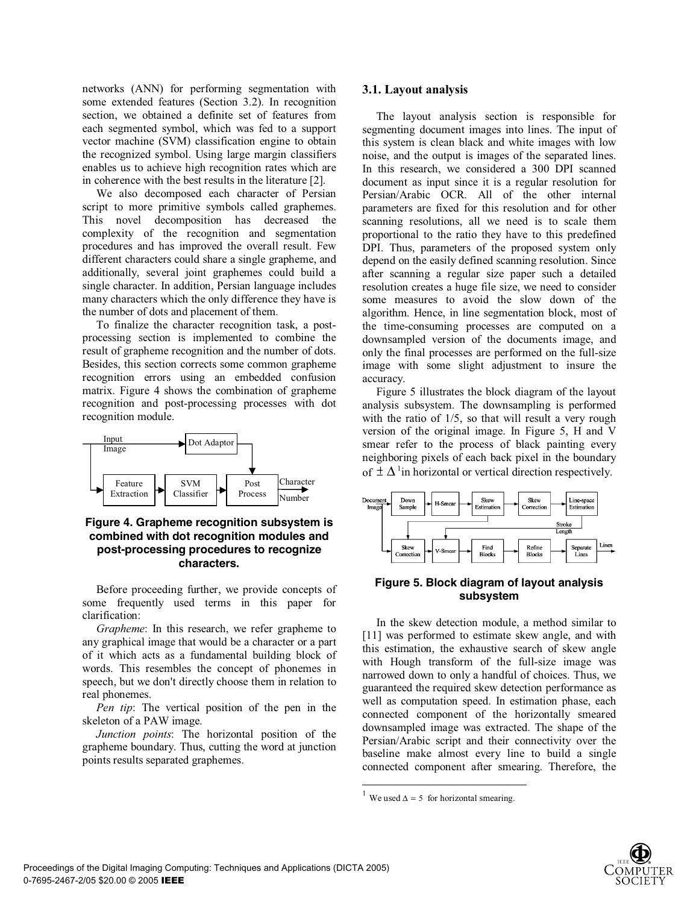networks (ANN) for performing segmentation with some extended features (Section 3.2). In recognition section, we obtained a definite set of features from each segmented symbol, which was fed to a support vector machine (SVM) classification engine to obtain the recognized symbol. Using large margin classifiers enables us to achieve high recognition rates which are in coherence with the best results in the literature [2].

We also decomposed each character of Persian script to more primitive symbols called graphemes. This novel decomposition has decreased the complexity of the recognition and segmentation procedures and has improved the overall result. Few different characters could share a single grapheme, and additionally, several joint graphemes could build a single character. In addition, Persian language includes many characters which the only difference they have is the number of dots and placement of them.

To finalize the character recognition task, a postprocessing section is implemented to combine the result of grapheme recognition and the number of dots. Besides, this section corrects some common grapheme recognition errors using an embedded confusion matrix. Figure 4 shows the combination of grapheme recognition and post-processing processes with dot recognition module.



## **Figure 4. Grapheme recognition subsystem is combined with dot recognition modules and post-processing procedures to recognize characters.**

Before proceeding further, we provide concepts of some frequently used terms in this paper for clarification:

*Grapheme*: In this research, we refer grapheme to any graphical image that would be a character or a part of it which acts as a fundamental building block of words. This resembles the concept of phonemes in speech, but we don't directly choose them in relation to real phonemes.

*Pen tip*: The vertical position of the pen in the skeleton of a PAW image.

*Junction points*: The horizontal position of the grapheme boundary. Thus, cutting the word at junction points results separated graphemes.

#### **3.1. Layout analysis**

The layout analysis section is responsible for segmenting document images into lines. The input of this system is clean black and white images with low noise, and the output is images of the separated lines. In this research, we considered a 300 DPI scanned document as input since it is a regular resolution for Persian/Arabic OCR. All of the other internal parameters are fixed for this resolution and for other scanning resolutions, all we need is to scale them proportional to the ratio they have to this predefined DPI. Thus, parameters of the proposed system only depend on the easily defined scanning resolution. Since after scanning a regular size paper such a detailed resolution creates a huge file size, we need to consider some measures to avoid the slow down of the algorithm. Hence, in line segmentation block, most of the time-consuming processes are computed on a downsampled version of the documents image, and only the final processes are performed on the full-size image with some slight adjustment to insure the accuracy.

Figure 5 illustrates the block diagram of the layout analysis subsystem. The downsampling is performed with the ratio of  $1/5$ , so that will result a very rough version of the original image. In Figure 5, H and V smear refer to the process of black painting every neighboring pixels of each back pixel in the boundary of  $\pm \Delta$ <sup>1</sup> in horizontal or vertical direction respectively.



#### **Figure 5. Block diagram of layout analysis subsystem**

In the skew detection module, a method similar to [11] was performed to estimate skew angle, and with this estimation, the exhaustive search of skew angle with Hough transform of the full-size image was narrowed down to only a handful of choices. Thus, we guaranteed the required skew detection performance as well as computation speed. In estimation phase, each connected component of the horizontally smeared downsampled image was extracted. The shape of the Persian/Arabic script and their connectivity over the baseline make almost every line to build a single connected component after smearing. Therefore, the

 $\overline{a}$ 



<sup>&</sup>lt;sup>1</sup> We used  $\Delta = 5$  for horizontal smearing.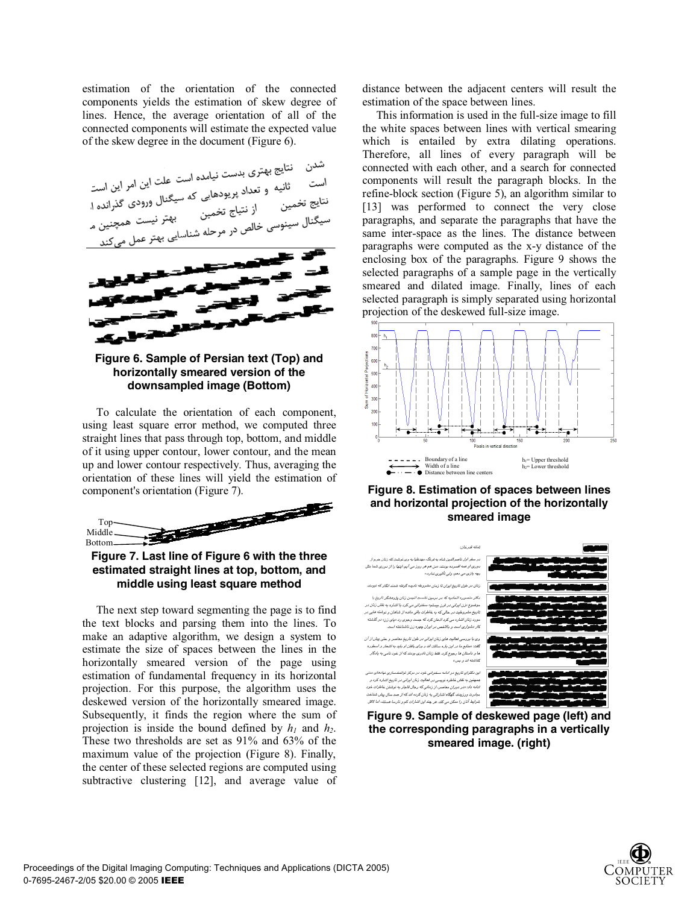estimation of the orientation of the connected components yields the estimation of skew degree of lines. Hence, the average orientation of all of the connected components will estimate the expected value of the skew degree in the document (Figure 6).



**Figure 6. Sample of Persian text (Top) and horizontally smeared version of the downsampled image (Bottom)** 

To calculate the orientation of each component, using least square error method, we computed three straight lines that pass through top, bottom, and middle of it using upper contour, lower contour, and the mean up and lower contour respectively. Thus, averaging the orientation of these lines will yield the estimation of



**Figure 7. Last line of Figure 6 with the three estimated straight lines at top, bottom, and middle using least square method** 

The next step toward segmenting the page is to find the text blocks and parsing them into the lines. To make an adaptive algorithm, we design a system to estimate the size of spaces between the lines in the horizontally smeared version of the page using estimation of fundamental frequency in its horizontal projection. For this purpose, the algorithm uses the deskewed version of the horizontally smeared image. Subsequently, it finds the region where the sum of projection is inside the bound defined by  $h_1$  and  $h_2$ . These two thresholds are set as 91% and 63% of the maximum value of the projection (Figure 8). Finally, the center of these selected regions are computed using subtractive clustering [12], and average value of distance between the adjacent centers will result the estimation of the space between lines.

This information is used in the full-size image to fill the white spaces between lines with vertical smearing which is entailed by extra dilating operations. Therefore, all lines of every paragraph will be connected with each other, and a search for connected components will result the paragraph blocks. In the refine-block section (Figure 5), an algorithm similar to [13] was performed to connect the very close paragraphs, and separate the paragraphs that have the same inter-space as the lines. The distance between paragraphs were computed as the x-y distance of the enclosing box of the paragraphs. Figure 9 shows the selected paragraphs of a sample page in the vertically smeared and dilated image. Finally, lines of each selected paragraph is simply separated using horizontal projection of the deskewed full-size image.



**Figure 8. Estimation of spaces between lines and horizontal projection of the horizontally smeared image** 



**Figure 9. Sample of deskewed page (left) and the corresponding paragraphs in a vertically smeared image. (right)** 

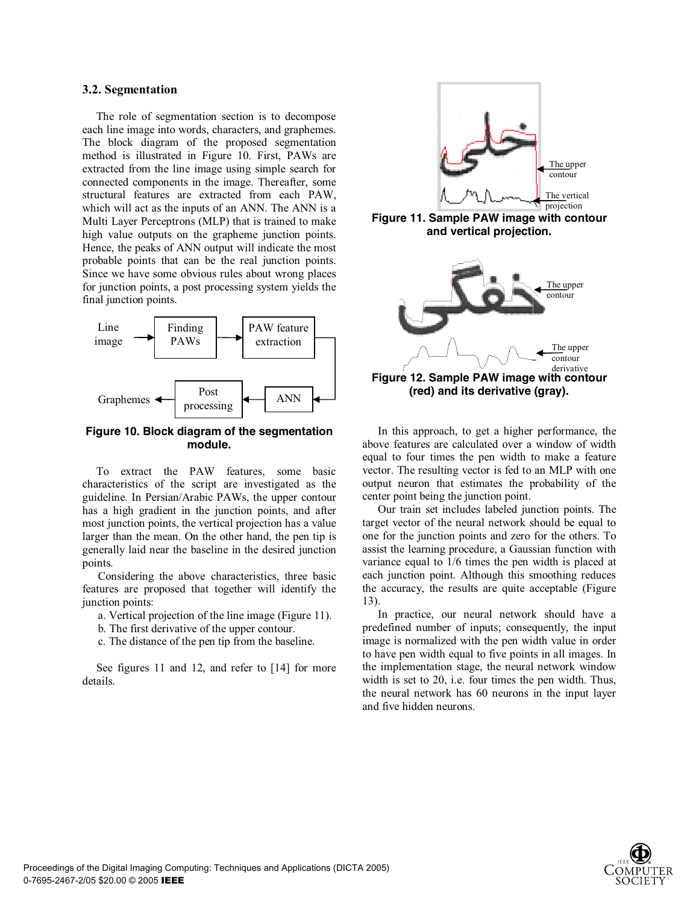#### **3.2. Segmentation**

The role of segmentation section is to decompose each line image into words, characters, and graphemes. The block diagram of the proposed segmentation method is illustrated in Figure 10. First, PAWs are extracted from the line image using simple search for connected components in the image. Thereafter, some structural features are extracted from each PAW, which will act as the inputs of an ANN. The ANN is a Multi Layer Perceptrons (MLP) that is trained to make high value outputs on the grapheme junction points. Hence, the peaks of ANN output will indicate the most probable points that can be the real junction points. Since we have some obvious rules about wrong places for junction points, a post processing system yields the final junction points.



**Figure 10. Block diagram of the segmentation module.** 

To extract the PAW features, some basic characteristics of the script are investigated as the guideline. In Persian/Arabic PAWs, the upper contour has a high gradient in the junction points, and after most junction points, the vertical projection has a value larger than the mean. On the other hand, the pen tip is generally laid near the baseline in the desired junction points.

Considering the above characteristics, three basic features are proposed that together will identify the junction points:

- a. Vertical projection of the line image (Figure 11).
- b. The first derivative of the upper contour.
- c. The distance of the pen tip from the baseline.

See figures 11 and 12, and refer to [14] for more details.



**Figure 11. Sample PAW image with contour and vertical projection.** 



In this approach, to get a higher performance, the above features are calculated over a window of width equal to four times the pen width to make a feature vector. The resulting vector is fed to an MLP with one output neuron that estimates the probability of the center point being the junction point.

Our train set includes labeled junction points. The target vector of the neural network should be equal to one for the junction points and zero for the others. To assist the learning procedure, a Gaussian function with variance equal to 1/6 times the pen width is placed at each junction point. Although this smoothing reduces the accuracy, the results are quite acceptable (Figure 13).

In practice, our neural network should have a predefined number of inputs; consequently, the input image is normalized with the pen width value in order to have pen width equal to five points in all images. In the implementation stage, the neural network window width is set to 20, i.e. four times the pen width. Thus, the neural network has 60 neurons in the input layer and five hidden neurons.

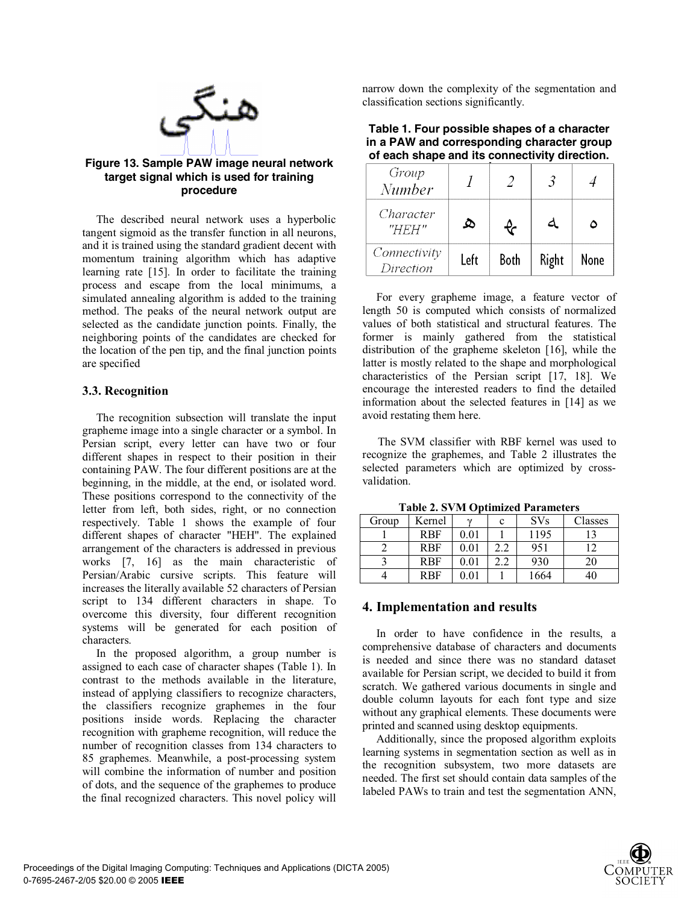

### **Figure 13. Sample PAW image neural network target signal which is used for training procedure**

The described neural network uses a hyperbolic tangent sigmoid as the transfer function in all neurons, and it is trained using the standard gradient decent with momentum training algorithm which has adaptive learning rate [15]. In order to facilitate the training process and escape from the local minimums, a simulated annealing algorithm is added to the training method. The peaks of the neural network output are selected as the candidate junction points. Finally, the neighboring points of the candidates are checked for the location of the pen tip, and the final junction points are specified

## **3.3. Recognition**

The recognition subsection will translate the input grapheme image into a single character or a symbol. In Persian script, every letter can have two or four different shapes in respect to their position in their containing PAW. The four different positions are at the beginning, in the middle, at the end, or isolated word. These positions correspond to the connectivity of the letter from left, both sides, right, or no connection respectively. Table 1 shows the example of four different shapes of character "HEH". The explained arrangement of the characters is addressed in previous works [7, 16] as the main characteristic of Persian/Arabic cursive scripts. This feature will increases the literally available 52 characters of Persian script to 134 different characters in shape. To overcome this diversity, four different recognition systems will be generated for each position of characters.

In the proposed algorithm, a group number is assigned to each case of character shapes (Table 1). In contrast to the methods available in the literature, instead of applying classifiers to recognize characters, the classifiers recognize graphemes in the four positions inside words. Replacing the character recognition with grapheme recognition, will reduce the number of recognition classes from 134 characters to 85 graphemes. Meanwhile, a post-processing system will combine the information of number and position of dots, and the sequence of the graphemes to produce the final recognized characters. This novel policy will

narrow down the complexity of the segmentation and classification sections significantly.

**Table 1. Four possible shapes of a character** 

| Table 1. Four possible shapes of a character  |  |  |  |  |
|-----------------------------------------------|--|--|--|--|
| in a PAW and corresponding character group    |  |  |  |  |
| of each shape and its connectivity direction. |  |  |  |  |
|                                               |  |  |  |  |

| Group<br>Number           |      |      | -3    |      |
|---------------------------|------|------|-------|------|
| Character<br>"HEH"        | ىھ   | ᡶ    | d     | ٥    |
| Connectivity<br>Direction | Left | Both | Right | None |

For every grapheme image, a feature vector of length 50 is computed which consists of normalized values of both statistical and structural features. The former is mainly gathered from the statistical distribution of the grapheme skeleton [16], while the latter is mostly related to the shape and morphological characteristics of the Persian script [17, 18]. We encourage the interested readers to find the detailed information about the selected features in [14] as we avoid restating them here.

The SVM classifier with RBF kernel was used to recognize the graphemes, and Table 2 illustrates the selected parameters which are optimized by crossvalidation.

| Group | Kernel     | $\gamma$   | с   | <b>SVs</b> | Classes |
|-------|------------|------------|-----|------------|---------|
|       | <b>RBF</b> | 0.01       |     | 1195       | 13      |
|       | <b>RBF</b> | 0.01       | 2.2 | 951        | 1 າ     |
|       | <b>RBF</b> | $\rm 0.01$ | 2.2 | 930        | 20      |
|       | <b>RBF</b> | $\rm 0.01$ |     | 1664       | 40      |

**Table 2. SVM Optimized Parameters** 

# **4. Implementation and results**

In order to have confidence in the results, a comprehensive database of characters and documents is needed and since there was no standard dataset available for Persian script, we decided to build it from scratch. We gathered various documents in single and double column layouts for each font type and size without any graphical elements. These documents were printed and scanned using desktop equipments.

Additionally, since the proposed algorithm exploits learning systems in segmentation section as well as in the recognition subsystem, two more datasets are needed. The first set should contain data samples of the labeled PAWs to train and test the segmentation ANN,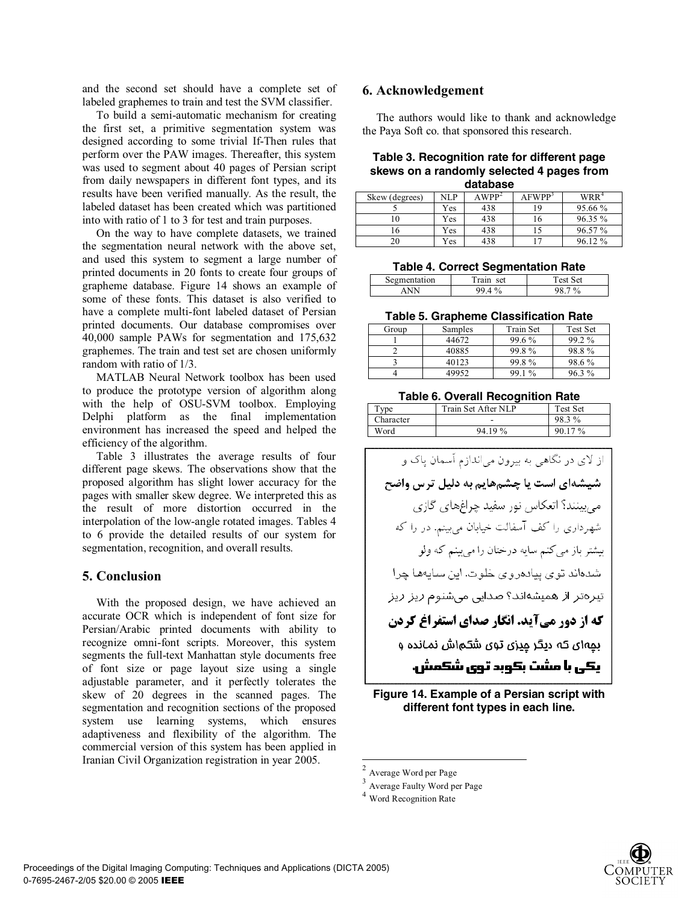and the second set should have a complete set of labeled graphemes to train and test the SVM classifier.

To build a semi-automatic mechanism for creating the first set, a primitive segmentation system was designed according to some trivial If-Then rules that perform over the PAW images. Thereafter, this system was used to segment about 40 pages of Persian script from daily newspapers in different font types, and its results have been verified manually. As the result, the labeled dataset has been created which was partitioned into with ratio of 1 to 3 for test and train purposes.

On the way to have complete datasets, we trained the segmentation neural network with the above set, and used this system to segment a large number of printed documents in 20 fonts to create four groups of grapheme database. Figure 14 shows an example of some of these fonts. This dataset is also verified to have a complete multi-font labeled dataset of Persian printed documents. Our database compromises over 40,000 sample PAWs for segmentation and 175,632 graphemes. The train and test set are chosen uniformly random with ratio of 1/3.

MATLAB Neural Network toolbox has been used to produce the prototype version of algorithm along with the help of OSU-SVM toolbox. Employing Delphi platform as the final implementation environment has increased the speed and helped the efficiency of the algorithm.

Table 3 illustrates the average results of four different page skews. The observations show that the proposed algorithm has slight lower accuracy for the pages with smaller skew degree. We interpreted this as the result of more distortion occurred in the interpolation of the low-angle rotated images. Tables 4 to 6 provide the detailed results of our system for segmentation, recognition, and overall results.

# **5. Conclusion**

With the proposed design, we have achieved an accurate OCR which is independent of font size for Persian/Arabic printed documents with ability to recognize omni-font scripts. Moreover, this system segments the full-text Manhattan style documents free of font size or page layout size using a single adjustable parameter, and it perfectly tolerates the skew of 20 degrees in the scanned pages. The segmentation and recognition sections of the proposed system use learning systems, which ensures adaptiveness and flexibility of the algorithm. The commercial version of this system has been applied in Iranian Civil Organization registration in year 2005.

# **6. Acknowledgement**

The authors would like to thank and acknowledge the Paya Soft co. that sponsored this research.

#### **Table 3. Recognition rate for different page skews on a randomly selected 4 pages from database**

| Skew (degrees) | NLP | AWPP <sup>2</sup> | $A F W P P$ <sup>3</sup> | WRR <sup>4</sup> |
|----------------|-----|-------------------|--------------------------|------------------|
|                | Yes | 438               | 19                       | 95.66 %          |
| ι0             | Yes | 438               | 16                       | $96.35\%$        |
| . 6            | Yes | 438               |                          | $96.57\%$        |
| 20             | Yes | 438               |                          | $96.12\%$        |

#### **Table 4. Correct Segmentation Rate**

| `atıon<br>nent | set | $\Delta^t$ |
|----------------|-----|------------|
|                |     | v.         |

#### **Table 5. Grapheme Classification Rate**

| Group | Samples | Train Set | Test Set |
|-------|---------|-----------|----------|
|       | 44672   | $99.6\%$  | $99.2\%$ |
|       | 40885   | 99.8%     | 98.8%    |
|       | 40123   | 99.8%     | 98.6 %   |
|       | 49952   | $99.1\%$  | 96.3%    |

#### **Table 6. Overall Recognition Rate**

| `vne       | Train Set After NLP | <b>Test Set</b> |
|------------|---------------------|-----------------|
| Character: | -                   | 98.3 %          |
| Word       | 94.19 %             | $90.17\%$       |

از لای در نگاهی به بیرون می اندازم آسمان باک و شیشهای است یا چشمهایم به دلیل ترس واضح مے سنند؟ اتعکاس نور سفید جراغهای گازی شهرداری را کف آسفالت خیابان میبینم. در را که بیشتر باز می کنم سایه درختان را می بینم که ولو شدهاند توی پیادهروی خلوت. این سایهها چرا تیرهتر از همیشهاند؟ صدایی میشنوم ریز ریز **که از دور میآید. انگار صدای استفراغ کردن** بمهای که دیگر میزی توی ش*ک*هاش ن*م*انده و یکی با مشت بکوید توی شکمش .

**Figure 14. Example of a Persian script with different font types in each line.** 

 $\overline{a}$ 



Average Word per Page

Average Faulty Word per Page

<sup>4</sup> Word Recognition Rate